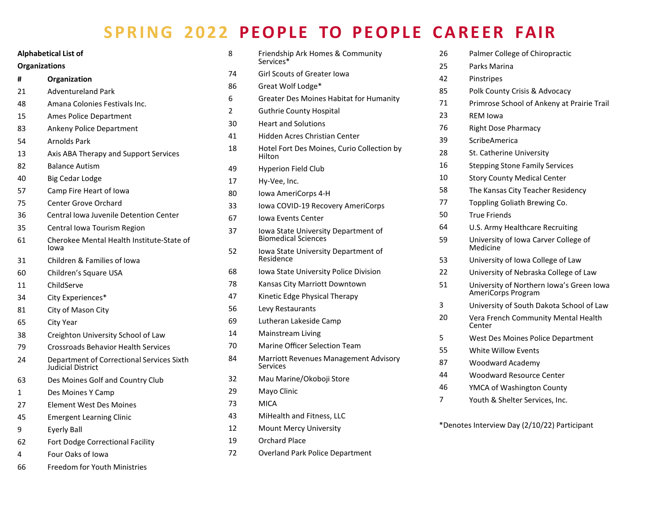## **SPRING 2022 PEOPLE TO PEOPLE CAREER FAIR**

| <b>Alphabetical List of</b><br><b>Organizations</b> |                                                                | 8<br>74        | Friendship Ark Homes & Community<br>Services*<br><b>Girl Scouts of Greater Iowa</b> |
|-----------------------------------------------------|----------------------------------------------------------------|----------------|-------------------------------------------------------------------------------------|
|                                                     |                                                                |                |                                                                                     |
| 21                                                  | <b>Adventureland Park</b>                                      | 6              | Greater Des Moines Habitat for Humanity                                             |
| 48                                                  | Amana Colonies Festivals Inc.                                  | $\overline{2}$ | <b>Guthrie County Hospital</b>                                                      |
| 15                                                  | Ames Police Department                                         | 30             | <b>Heart and Solutions</b>                                                          |
| 83                                                  | Ankeny Police Department                                       | 41             | Hidden Acres Christian Center                                                       |
| 54                                                  | <b>Arnolds Park</b>                                            |                |                                                                                     |
| 13                                                  | Axis ABA Therapy and Support Services                          | 18             | Hotel Fort Des Moines, Curio Collection by<br>Hilton                                |
| 82                                                  | <b>Balance Autism</b>                                          | 49             | <b>Hyperion Field Club</b>                                                          |
| 40                                                  | <b>Big Cedar Lodge</b>                                         | 17             | Hy-Vee, Inc.                                                                        |
| 57                                                  | Camp Fire Heart of Iowa                                        | 80             | Iowa AmeriCorps 4-H                                                                 |
| 75                                                  | <b>Center Grove Orchard</b>                                    | 33             | lowa COVID-19 Recovery AmeriCorps                                                   |
| 36                                                  | <b>Central lowa Juvenile Detention Center</b>                  | 67             | <b>Iowa Events Center</b>                                                           |
| 35                                                  | Central Iowa Tourism Region                                    | 37             | Iowa State University Department of                                                 |
| 61                                                  | Cherokee Mental Health Institute-State of<br>lowa              |                | <b>Biomedical Sciences</b>                                                          |
| 31                                                  | Children & Families of Iowa                                    | 52             | Iowa State University Department of<br>Residence                                    |
| 60                                                  | Children's Square USA                                          | 68             | Iowa State University Police Division                                               |
| 11                                                  | ChildServe                                                     | 78             | Kansas City Marriott Downtown                                                       |
| 34                                                  | City Experiences*                                              | 47             | Kinetic Edge Physical Therapy                                                       |
| 81                                                  | City of Mason City                                             | 56             | Levy Restaurants                                                                    |
| 65                                                  | City Year                                                      | 69             | Lutheran Lakeside Camp                                                              |
| 38                                                  | Creighton University School of Law                             | 14             | Mainstream Living                                                                   |
| 79                                                  | <b>Crossroads Behavior Health Services</b>                     | 70             | <b>Marine Officer Selection Team</b>                                                |
| 24                                                  | Department of Correctional Services Sixth<br>Judicial District | 84             | Marriott Revenues Management Advisory<br><b>Services</b>                            |
| 63                                                  | Des Moines Golf and Country Club                               | 32             | Mau Marine/Okoboji Store                                                            |
| $\mathbf{1}$                                        | Des Moines Y Camp                                              | 29             | Mayo Clinic                                                                         |
| 27                                                  | Element West Des Moines                                        | 73             | <b>MICA</b>                                                                         |
| 45                                                  | <b>Emergent Learning Clinic</b>                                | 43             | MiHealth and Fitness, LLC                                                           |
| 9                                                   | Eyerly Ball                                                    | 12             | Mount Mercy University                                                              |
| 62                                                  | Fort Dodge Correctional Facility                               | 19             | <b>Orchard Place</b>                                                                |
| 4                                                   | Four Oaks of Iowa                                              | 72             | <b>Overland Park Police Department</b>                                              |
| 66                                                  | Freedom for Youth Ministries                                   |                |                                                                                     |

| 26 | Palmer College of Chiropractic                                 |
|----|----------------------------------------------------------------|
| 25 | Parks Marina                                                   |
| 42 | Pinstripes                                                     |
| 85 | Polk County Crisis & Advocacy                                  |
| 71 | Primrose School of Ankeny at Prairie Trail                     |
| 23 | <b>RFM Iowa</b>                                                |
| 76 | <b>Right Dose Pharmacy</b>                                     |
| 39 | ScribeAmerica                                                  |
| 28 | St. Catherine University                                       |
| 16 | <b>Stepping Stone Family Services</b>                          |
| 10 | <b>Story County Medical Center</b>                             |
| 58 | The Kansas City Teacher Residency                              |
| 77 | Toppling Goliath Brewing Co.                                   |
| 50 | <b>True Friends</b>                                            |
| 64 | U.S. Army Healthcare Recruiting                                |
| 59 | University of Iowa Carver College of<br>Medicine               |
| 53 | University of Iowa College of Law                              |
| 22 | University of Nebraska College of Law                          |
| 51 | University of Northern Iowa's Green Iowa<br>AmeriCorps Program |
| 3  | University of South Dakota School of Law                       |
| 20 | Vera French Community Mental Health<br>Center                  |
| 5  | West Des Moines Police Department                              |
| 55 | <b>White Willow Events</b>                                     |
| 87 | <b>Woodward Academy</b>                                        |
| 44 | Woodward Resource Center                                       |
| 46 | YMCA of Washington County                                      |
| 7  | Youth & Shelter Services, Inc.                                 |

\*Denotes Interview Day (2/10/22) Participant